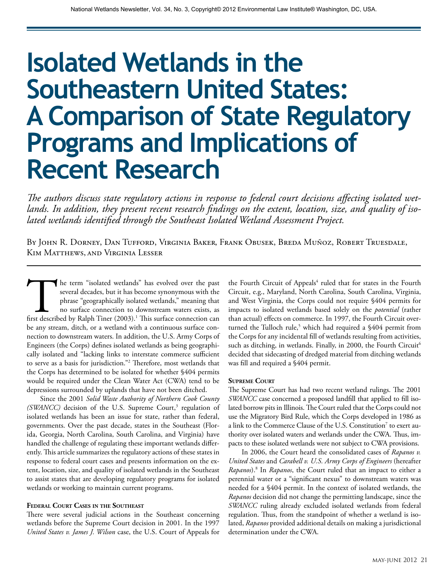# **Isolated Wetlands in the Southeastern United States: A Comparison of State Regulatory Programs and Implications of Recent Research**

*The authors discuss state regulatory actions in response to federal court decisions affecting isolated wetlands. In addition, they present recent research findings on the extent, location, size, and quality of isolated wetlands identified through the Southeast Isolated Wetland Assessment Project.*

By John R. Dorney, Dan Tufford, Virginia Baker, Frank Obusek, Breda Muñoz, Robert Truesdale, Kim Matthews, and Virginia Lesser

The term "isolated wetlands" has evolved over the past several decades, but it has become synonymous with the phrase "geographically isolated wetlands," meaning that no surface connection to downstream waters exists, as fi several decades, but it has become synonymous with the phrase "geographically isolated wetlands," meaning that no surface connection to downstream waters exists, as be any stream, ditch, or a wetland with a continuous surface connection to downstream waters. In addition, the U.S. Army Corps of Engineers (the Corps) defines isolated wetlands as being geographically isolated and "lacking links to interstate commerce sufficient to serve as a basis for jurisdiction."2 Therefore, most wetlands that the Corps has determined to be isolated for whether §404 permits would be required under the Clean Water Act (CWA) tend to be depressions surrounded by uplands that have not been ditched.

Since the 2001 *Solid Waste Authority of Northern Cook County*  (SWANCC) decision of the U.S. Supreme Court,<sup>3</sup> regulation of isolated wetlands has been an issue for state, rather than federal, governments. Over the past decade, states in the Southeast (Florida, Georgia, North Carolina, South Carolina, and Virginia) have handled the challenge of regulating these important wetlands differently. This article summarizes the regulatory actions of these states in response to federal court cases and presents information on the extent, location, size, and quality of isolated wetlands in the Southeast to assist states that are developing regulatory programs for isolated wetlands or working to maintain current programs.

#### **Federal Court Cases in the Southeast**

There were several judicial actions in the Southeast concerning wetlands before the Supreme Court decision in 2001. In the 1997 *United States v. James J. Wilson* case, the U.S. Court of Appeals for

the Fourth Circuit of Appeals<sup>4</sup> ruled that for states in the Fourth Circuit, e.g., Maryland, North Carolina, South Carolina, Virginia, and West Virginia, the Corps could not require §404 permits for impacts to isolated wetlands based solely on the *potential* (rather than actual) effects on commerce. In 1997, the Fourth Circuit overturned the Tulloch rule,<sup>5</sup> which had required a \$404 permit from the Corps for any incidental fill of wetlands resulting from activities, such as ditching, in wetlands. Finally, in 2000, the Fourth Circuit<sup>6</sup> decided that sidecasting of dredged material from ditching wetlands was fill and required a §404 permit.

#### **Supreme Court**

The Supreme Court has had two recent wetland rulings. The 2001 *SWANCC* case concerned a proposed landfill that applied to fill isolated borrow pits in Illinois. The Court ruled that the Corps could not use the Migratory Bird Rule, which the Corps developed in 1986 as a link to the Commerce Clause of the U.S. Constitution $^7$  to exert authority over isolated waters and wetlands under the CWA. Thus, impacts to these isolated wetlands were not subject to CWA provisions.

In 2006, the Court heard the consolidated cases of *Rapanos v. United States* and *Carabell v. U.S. Army Corps of Engineers* (hereafter *Rapanos*).8 In *Rapanos*, the Court ruled that an impact to either a perennial water or a "significant nexus" to downstream waters was needed for a §404 permit. In the context of isolated wetlands, the *Rapanos* decision did not change the permitting landscape, since the *SWANCC* ruling already excluded isolated wetlands from federal regulation. Thus, from the standpoint of whether a wetland is isolated, *Rapanos* provided additional details on making a jurisdictional determination under the CWA.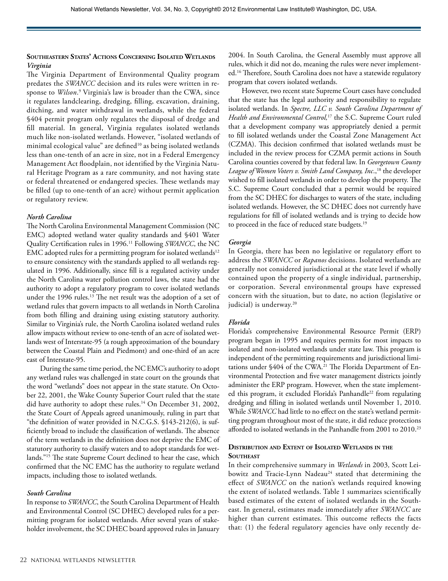## **Southeastern States' Actions Concerning Isolated Wetlands** *Virginia*

The Virginia Department of Environmental Quality program predates the *SWANCC* decision and its rules were written in response to *Wilson*.<sup>9</sup> Virginia's law is broader than the CWA, since it regulates landclearing, dredging, filling, excavation, draining, ditching, and water withdrawal in wetlands, while the federal §404 permit program only regulates the disposal of dredge and fill material. In general, Virginia regulates isolated wetlands much like non-isolated wetlands. However, "isolated wetlands of minimal ecological value" are defined<sup>10</sup> as being isolated wetlands less than one-tenth of an acre in size, not in a Federal Emergency Management Act floodplain, not identified by the Virginia Natural Heritage Program as a rare community, and not having state or federal threatened or endangered species. These wetlands may be filled (up to one-tenth of an acre) without permit application or regulatory review.

## *North Carolina*

The North Carolina Environmental Management Commission (NC EMC) adopted wetland water quality standards and §401 Water Quality Certification rules in 1996.11 Following *SWANCC*, the NC EMC adopted rules for a permitting program for isolated wetlands<sup>12</sup> to ensure consistency with the standards applied to all wetlands regulated in 1996. Additionally, since fill is a regulated activity under the North Carolina water pollution control laws, the state had the authority to adopt a regulatory program to cover isolated wetlands under the 1996 rules.<sup>13</sup> The net result was the adoption of a set of wetland rules that govern impacts to all wetlands in North Carolina from both filling and draining using existing statutory authority. Similar to Virginia's rule, the North Carolina isolated wetland rules allow impacts without review to one-tenth of an acre of isolated wetlands west of Interstate-95 (a rough approximation of the boundary between the Coastal Plain and Piedmont) and one-third of an acre east of Interstate-95.

During the same time period, the NC EMC's authority to adopt any wetland rules was challenged in state court on the grounds that the word "wetlands" does not appear in the state statute. On October 22, 2001, the Wake County Superior Court ruled that the state did have authority to adopt these rules.<sup>14</sup> On December 31, 2002, the State Court of Appeals agreed unanimously, ruling in part that "the definition of water provided in N.C.G.S. §143-212(6), is sufficiently broad to include the classification of wetlands. The absence of the term wetlands in the definition does not deprive the EMC of statutory authority to classify waters and to adopt standards for wetlands."15 The state Supreme Court declined to hear the case, which confirmed that the NC EMC has the authority to regulate wetland impacts, including those to isolated wetlands.

#### *South Carolina*

In response to *SWANCC*, the South Carolina Department of Health and Environmental Control (SC DHEC) developed rules for a permitting program for isolated wetlands. After several years of stakeholder involvement, the SC DHEC board approved rules in January

2004. In South Carolina, the General Assembly must approve all rules, which it did not do, meaning the rules were never implemented.16 Therefore, South Carolina does not have a statewide regulatory program that covers isolated wetlands.

However, two recent state Supreme Court cases have concluded that the state has the legal authority and responsibility to regulate isolated wetlands. In *Spectre, LLC v. South Carolina Department of Health and Environmental Control,*<sup>17</sup> the S.C. Supreme Court ruled that a development company was appropriately denied a permit to fill isolated wetlands under the Coastal Zone Management Act (CZMA). This decision confirmed that isolated wetlands must be included in the review process for CZMA permit actions in South Carolina counties covered by that federal law. In *Georgetown County*  League of Women Voters v. Smith Land Company, Inc.,<sup>18</sup> the developer wished to fill isolated wetlands in order to develop the property. The S.C. Supreme Court concluded that a permit would be required from the SC DHEC for discharges to waters of the state, including isolated wetlands. However, the SC DHEC does not currently have regulations for fill of isolated wetlands and is trying to decide how to proceed in the face of reduced state budgets.<sup>19</sup>

## *Georgia*

In Georgia, there has been no legislative or regulatory effort to address the *SWANCC* or *Rapanos* decisions. Isolated wetlands are generally not considered jurisdictional at the state level if wholly contained upon the property of a single individual, partnership, or corporation. Several environmental groups have expressed concern with the situation, but to date, no action (legislative or judicial) is underway.<sup>20</sup>

#### *Florida*

Florida's comprehensive Environmental Resource Permit (ERP) program began in 1995 and requires permits for most impacts to isolated and non-isolated wetlands under state law. This program is independent of the permitting requirements and jurisdictional limitations under §404 of the CWA.<sup>21</sup> The Florida Department of Environmental Protection and five water management districts jointly administer the ERP program. However, when the state implemented this program, it excluded Florida's Panhandle<sup>22</sup> from regulating dredging and filling in isolated wetlands until November 1, 2010. While *SWANCC* had little to no effect on the state's wetland permitting program throughout most of the state, it did reduce protections afforded to isolated wetlands in the Panhandle from 2001 to 2010.<sup>23</sup>

## **Distribution and Extent of Isolated Wetlands in the SOUTHEAST**

In their comprehensive summary in *Wetlands* in 2003*,* Scott Leibowitz and Tracie-Lynn Nadeau<sup>24</sup> stated that determining the effect of *SWANCC* on the nation's wetlands required knowing the extent of isolated wetlands. Table 1 summarizes scientifically based estimates of the extent of isolated wetlands in the Southeast. In general, estimates made immediately after *SWANCC* are higher than current estimates. This outcome reflects the facts that: (1) the federal regulatory agencies have only recently de-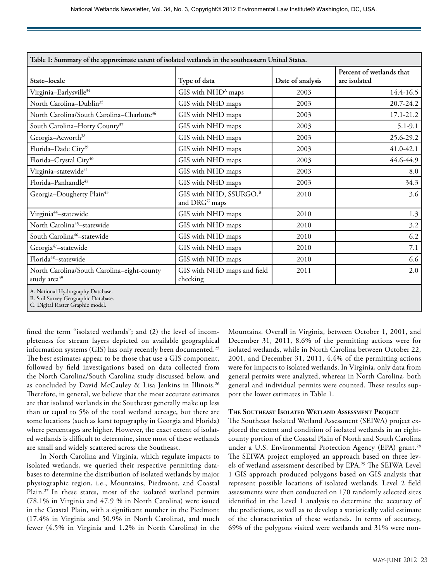| Table 1: Summary of the approximate extent of isolated wetlands in the southeastern United States. |                                                                 |                  |                                          |
|----------------------------------------------------------------------------------------------------|-----------------------------------------------------------------|------------------|------------------------------------------|
| State-locale                                                                                       | Type of data                                                    | Date of analysis | Percent of wetlands that<br>are isolated |
| Virginia-Earlysville <sup>34</sup>                                                                 | GIS with NHD <sup>A</sup> maps                                  | 2003             | $14.4 - 16.5$                            |
| North Carolina-Dublin <sup>35</sup>                                                                | GIS with NHD maps                                               | 2003             | 20.7-24.2                                |
| North Carolina/South Carolina-Charlotte <sup>36</sup>                                              | GIS with NHD maps                                               | 2003             | $17.1 - 21.2$                            |
| South Carolina-Horry County <sup>37</sup>                                                          | GIS with NHD maps                                               | 2003             | $5.1 - 9.1$                              |
| Georgia-Acworth <sup>38</sup>                                                                      | GIS with NHD maps                                               | 2003             | 25.6-29.2                                |
| Florida-Dade City <sup>39</sup>                                                                    | GIS with NHD maps                                               | 2003             | 41.0-42.1                                |
| Florida-Crystal City <sup>40</sup>                                                                 | GIS with NHD maps                                               | 2003             | 44.6-44.9                                |
| Virginia-statewide <sup>41</sup>                                                                   | GIS with NHD maps                                               | 2003             | 8.0                                      |
| Florida-Panhandle42                                                                                | GIS with NHD maps                                               | 2003             | 34.3                                     |
| Georgia-Dougherty Plain <sup>43</sup>                                                              | GIS with NHD, SSURGO, <sup>B</sup><br>and DRG <sup>C</sup> maps | 2010             | 3.6                                      |
| Virginia <sup>44</sup> -statewide                                                                  | GIS with NHD maps                                               | 2010             | 1.3                                      |
| North Carolina <sup>45</sup> -statewide                                                            | GIS with NHD maps                                               | 2010             | 3.2                                      |
| South Carolina <sup>46</sup> -statewide                                                            | GIS with NHD maps                                               | 2010             | 6.2                                      |
| Georgia <sup>47</sup> -statewide                                                                   | GIS with NHD maps                                               | 2010             | 7.1                                      |
| Florida <sup>48</sup> -statewide                                                                   | GIS with NHD maps                                               | 2010             | 6.6                                      |
| North Carolina/South Carolina-eight-county<br>study area <sup>49</sup>                             | GIS with NHD maps and field<br>checking                         | 2011             | 2.0                                      |
| A. National Hydrography Database.<br>B. Soil Survey Geographic Database.                           |                                                                 |                  |                                          |

C. Digital Raster Graphic model.

fined the term "isolated wetlands"; and (2) the level of incompleteness for stream layers depicted on available geographical information systems (GIS) has only recently been documented.<sup>25</sup> The best estimates appear to be those that use a GIS component, followed by field investigations based on data collected from the North Carolina/South Carolina study discussed below, and as concluded by David McCauley & Lisa Jenkins in Illinois.<sup>26</sup> Therefore, in general, we believe that the most accurate estimates are that isolated wetlands in the Southeast generally make up less than or equal to 5% of the total wetland acreage, but there are some locations (such as karst topography in Georgia and Florida) where percentages are higher. However, the exact extent of isolated wetlands is difficult to determine, since most of these wetlands are small and widely scattered across the Southeast.

In North Carolina and Virginia, which regulate impacts to isolated wetlands, we queried their respective permitting databases to determine the distribution of isolated wetlands by major physiographic region, i.e., Mountains, Piedmont, and Coastal Plain.<sup>27</sup> In these states, most of the isolated wetland permits (78.1% in Virginia and 47.9 % in North Carolina) were issued in the Coastal Plain, with a significant number in the Piedmont (17.4% in Virginia and 50.9% in North Carolina), and much fewer (4.5% in Virginia and 1.2% in North Carolina) in the Mountains. Overall in Virginia, between October 1, 2001, and December 31, 2011, 8.6% of the permitting actions were for isolated wetlands, while in North Carolina between October 22, 2001, and December 31, 2011, 4.4% of the permitting actions were for impacts to isolated wetlands. In Virginia, only data from general permits were analyzed, whereas in North Carolina, both general and individual permits were counted. These results support the lower estimates in Table 1.

## **The Southeast Isolated Wetland Assessment Project**

The Southeast Isolated Wetland Assessment (SEIWA) project explored the extent and condition of isolated wetlands in an eightcounty portion of the Coastal Plain of North and South Carolina under a U.S. Environmental Protection Agency (EPA) grant.<sup>28</sup> The SEIWA project employed an approach based on three levels of wetland assessment described by EPA.29 The SEIWA Level 1 GIS approach produced polygons based on GIS analysis that represent possible locations of isolated wetlands. Level 2 field assessments were then conducted on 170 randomly selected sites identified in the Level 1 analysis to determine the accuracy of the predictions, as well as to develop a statistically valid estimate of the characteristics of these wetlands. In terms of accuracy, 69% of the polygons visited were wetlands and 31% were non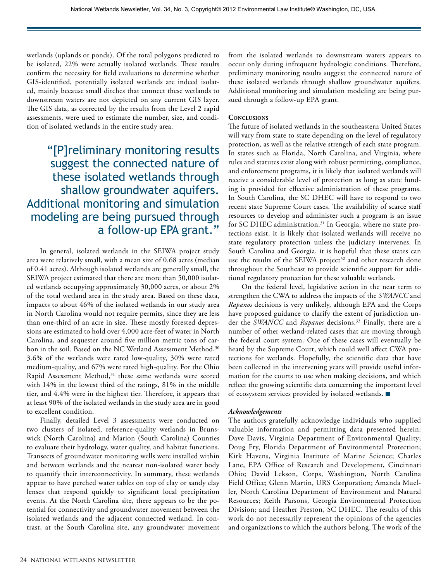wetlands (uplands or ponds). Of the total polygons predicted to be isolated, 22% were actually isolated wetlands. These results confirm the necessity for field evaluations to determine whether GIS-identified, potentially isolated wetlands are indeed isolated, mainly because small ditches that connect these wetlands to downstream waters are not depicted on any current GIS layer. The GIS data, as corrected by the results from the Level 2 rapid assessments, were used to estimate the number, size, and condition of isolated wetlands in the entire study area.

"[P]reliminary monitoring results suggest the connected nature of these isolated wetlands through shallow groundwater aquifers. Additional monitoring and simulation modeling are being pursued through a follow-up EPA grant."

In general, isolated wetlands in the SEIWA project study area were relatively small, with a mean size of 0.68 acres (median of 0.41 acres). Although isolated wetlands are generally small, the SEIWA project estimated that there are more than 50,000 isolated wetlands occupying approximately 30,000 acres, or about 2% of the total wetland area in the study area. Based on these data, impacts to about 46% of the isolated wetlands in our study area in North Carolina would not require permits, since they are less than one-third of an acre in size. These mostly forested depressions are estimated to hold over 4,000 acre-feet of water in North Carolina, and sequester around five million metric tons of carbon in the soil. Based on the NC Wetland Assessment Method,<sup>30</sup> 3.6% of the wetlands were rated low-quality, 30% were rated medium-quality, and 67% were rated high-quality. For the Ohio Rapid Assessment Method,<sup>31</sup> these same wetlands were scored with 14% in the lowest third of the ratings, 81% in the middle tier, and 4.4% were in the highest tier. Therefore, it appears that at least 90% of the isolated wetlands in the study area are in good to excellent condition.

Finally, detailed Level 3 assessments were conducted on two clusters of isolated, reference-quality wetlands in Brunswick (North Carolina) and Marion (South Carolina) Counties to evaluate their hydrology, water quality, and habitat functions. Transects of groundwater monitoring wells were installed within and between wetlands and the nearest non-isolated water body to quantify their interconnectivity. In summary, these wetlands appear to have perched water tables on top of clay or sandy clay lenses that respond quickly to significant local precipitation events. At the North Carolina site, there appears to be the potential for connectivity and groundwater movement between the isolated wetlands and the adjacent connected wetland. In contrast, at the South Carolina site, any groundwater movement

from the isolated wetlands to downstream waters appears to occur only during infrequent hydrologic conditions. Therefore, preliminary monitoring results suggest the connected nature of these isolated wetlands through shallow groundwater aquifers. Additional monitoring and simulation modeling are being pursued through a follow-up EPA grant.

## **Conclusions**

The future of isolated wetlands in the southeastern United States will vary from state to state depending on the level of regulatory protection, as well as the relative strength of each state program. In states such as Florida, North Carolina, and Virginia, where rules and statutes exist along with robust permitting, compliance, and enforcement programs, it is likely that isolated wetlands will receive a considerable level of protection as long as state funding is provided for effective administration of these programs. In South Carolina, the SC DHEC will have to respond to two recent state Supreme Court cases. The availability of scarce staff resources to develop and administer such a program is an issue for SC DHEC administration.<sup>31</sup> In Georgia, where no state protections exist, it is likely that isolated wetlands will receive no state regulatory protection unless the judiciary intervenes. In South Carolina and Georgia, it is hopeful that these states can use the results of the SEIWA project<sup>32</sup> and other research done throughout the Southeast to provide scientific support for additional regulatory protection for these valuable wetlands.

On the federal level, legislative action in the near term to strengthen the CWA to address the impacts of the *SWANCC* and *Rapanos* decisions is very unlikely, although EPA and the Corps have proposed guidance to clarify the extent of jurisdiction under the *SWANCC* and *Rapanos* decisions.33 Finally, there are a number of other wetland-related cases that are moving through the federal court system. One of these cases will eventually be heard by the Supreme Court, which could well affect CWA protections for wetlands. Hopefully, the scientific data that have been collected in the intervening years will provide useful information for the courts to use when making decisions, and which reflect the growing scientific data concerning the important level of ecosystem services provided by isolated wetlands.

#### *Acknowledgements*

The authors gratefully acknowledge individuals who supplied valuable information and permitting data presented herein: Dave Davis, Virginia Department of Environmental Quality; Doug Fry, Florida Department of Environmental Protection; Kirk Havens, Virginia Institute of Marine Science; Charles Lane, EPA Office of Research and Development, Cincinnati Ohio; David Lekson, Corps, Washington, North Carolina Field Office; Glenn Martin, URS Corporation; Amanda Mueller, North Carolina Department of Environment and Natural Resources; Keith Parsons, Georgia Environmental Protection Division; and Heather Preston, SC DHEC. The results of this work do not necessarily represent the opinions of the agencies and organizations to which the authors belong. The work of the